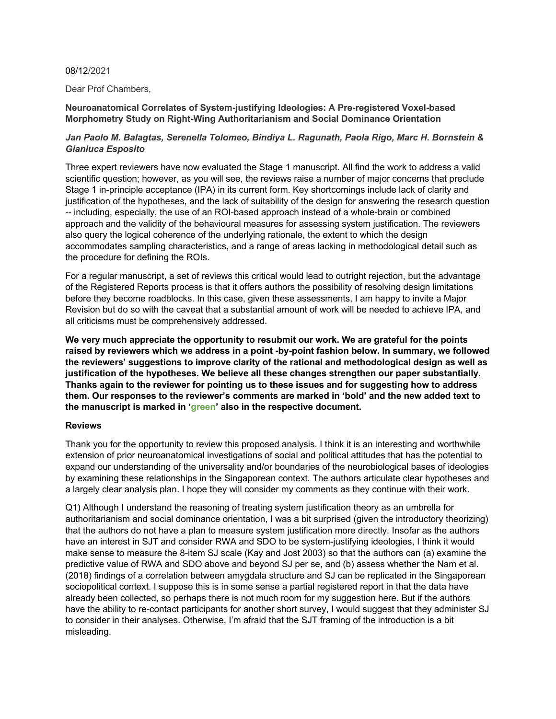#### 08/12/2021

Dear Prof Chambers,

# **Neuroanatomical Correlates of System-justifying Ideologies: A Pre-registered Voxel-based Morphometry Study on Right-Wing Authoritarianism and Social Dominance Orientation**

# *Jan Paolo M. Balagtas, Serenella Tolomeo, Bindiya L. Ragunath, Paola Rigo, Marc H. Bornstein & Gianluca Esposito*

Three expert reviewers have now evaluated the Stage 1 manuscript. All find the work to address a valid scientific question; however, as you will see, the reviews raise a number of major concerns that preclude Stage 1 in-principle acceptance (IPA) in its current form. Key shortcomings include lack of clarity and justification of the hypotheses, and the lack of suitability of the design for answering the research question -- including, especially, the use of an ROI-based approach instead of a whole-brain or combined approach and the validity of the behavioural measures for assessing system justification. The reviewers also query the logical coherence of the underlying rationale, the extent to which the design accommodates sampling characteristics, and a range of areas lacking in methodological detail such as the procedure for defining the ROIs.

For a regular manuscript, a set of reviews this critical would lead to outright rejection, but the advantage of the Registered Reports process is that it offers authors the possibility of resolving design limitations before they become roadblocks. In this case, given these assessments, I am happy to invite a Major Revision but do so with the caveat that a substantial amount of work will be needed to achieve IPA, and all criticisms must be comprehensively addressed.

**We very much appreciate the opportunity to resubmit our work. We are grateful for the points raised by reviewers which we address in a point -by-point fashion below. In summary, we followed the reviewers' suggestions to improve clarity of the rational and methodological design as well as justification of the hypotheses. We believe all these changes strengthen our paper substantially. Thanks again to the reviewer for pointing us to these issues and for suggesting how to address them. Our responses to the reviewer's comments are marked in 'bold' and the new added text to the manuscript is marked in 'green' also in the respective document.**

# **Reviews**

Thank you for the opportunity to review this proposed analysis. I think it is an interesting and worthwhile extension of prior neuroanatomical investigations of social and political attitudes that has the potential to expand our understanding of the universality and/or boundaries of the neurobiological bases of ideologies by examining these relationships in the Singaporean context. The authors articulate clear hypotheses and a largely clear analysis plan. I hope they will consider my comments as they continue with their work.

Q1) Although I understand the reasoning of treating system justification theory as an umbrella for authoritarianism and social dominance orientation, I was a bit surprised (given the introductory theorizing) that the authors do not have a plan to measure system justification more directly. Insofar as the authors have an interest in SJT and consider RWA and SDO to be system-justifying ideologies, I think it would make sense to measure the 8-item SJ scale (Kay and Jost 2003) so that the authors can (a) examine the predictive value of RWA and SDO above and beyond SJ per se, and (b) assess whether the Nam et al. (2018) findings of a correlation between amygdala structure and SJ can be replicated in the Singaporean sociopolitical context. I suppose this is in some sense a partial registered report in that the data have already been collected, so perhaps there is not much room for my suggestion here. But if the authors have the ability to re-contact participants for another short survey, I would suggest that they administer SJ to consider in their analyses. Otherwise, I'm afraid that the SJT framing of the introduction is a bit misleading.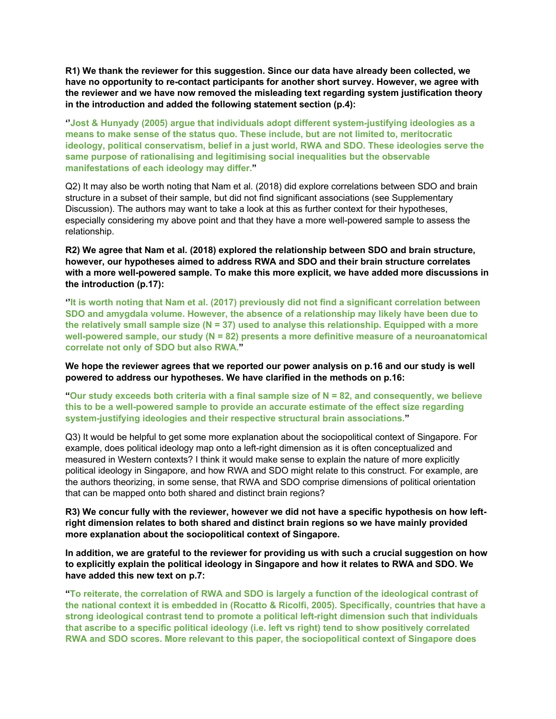**R1) We thank the reviewer for this suggestion. Since our data have already been collected, we have no opportunity to re-contact participants for another short survey. However, we agree with the reviewer and we have now removed the misleading text regarding system justification theory in the introduction and added the following statement section (p.4):**

**''Jost & Hunyady (2005) argue that individuals adopt different system-justifying ideologies as a means to make sense of the status quo. These include, but are not limited to, meritocratic ideology, political conservatism, belief in a just world, RWA and SDO. These ideologies serve the same purpose of rationalising and legitimising social inequalities but the observable manifestations of each ideology may differ."**

Q2) It may also be worth noting that Nam et al. (2018) did explore correlations between SDO and brain structure in a subset of their sample, but did not find significant associations (see Supplementary Discussion). The authors may want to take a look at this as further context for their hypotheses, especially considering my above point and that they have a more well-powered sample to assess the relationship.

**R2) We agree that Nam et al. (2018) explored the relationship between SDO and brain structure, however, our hypotheses aimed to address RWA and SDO and their brain structure correlates with a more well-powered sample. To make this more explicit, we have added more discussions in the introduction (p.17):**

**''It is worth noting that Nam et al. (2017) previously did not find a significant correlation between SDO and amygdala volume. However, the absence of a relationship may likely have been due to the relatively small sample size (N = 37) used to analyse this relationship. Equipped with a more well-powered sample, our study (N = 82) presents a more definitive measure of a neuroanatomical correlate not only of SDO but also RWA."**

**We hope the reviewer agrees that we reported our power analysis on p.16 and our study is well powered to address our hypotheses. We have clarified in the methods on p.16:**

**"Our study exceeds both criteria with a final sample size of N = 82, and consequently, we believe this to be a well-powered sample to provide an accurate estimate of the effect size regarding system-justifying ideologies and their respective structural brain associations."**

Q3) It would be helpful to get some more explanation about the sociopolitical context of Singapore. For example, does political ideology map onto a left-right dimension as it is often conceptualized and measured in Western contexts? I think it would make sense to explain the nature of more explicitly political ideology in Singapore, and how RWA and SDO might relate to this construct. For example, are the authors theorizing, in some sense, that RWA and SDO comprise dimensions of political orientation that can be mapped onto both shared and distinct brain regions?

**R3) We concur fully with the reviewer, however we did not have a specific hypothesis on how leftright dimension relates to both shared and distinct brain regions so we have mainly provided more explanation about the sociopolitical context of Singapore.**

**In addition, we are grateful to the reviewer for providing us with such a crucial suggestion on how to explicitly explain the political ideology in Singapore and how it relates to RWA and SDO. We have added this new text on p.7:**

**"To reiterate, the correlation of RWA and SDO is largely a function of the ideological contrast of the national context it is embedded in (Rocatto & Ricolfi, 2005). Specifically, countries that have a strong ideological contrast tend to promote a political left-right dimension such that individuals that ascribe to a specific political ideology (i.e. left vs right) tend to show positively correlated RWA and SDO scores. More relevant to this paper, the sociopolitical context of Singapore does**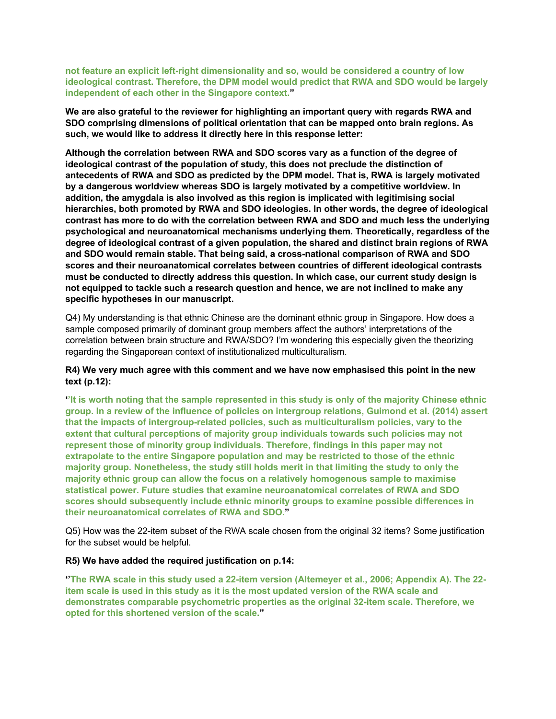**not feature an explicit left-right dimensionality and so, would be considered a country of low ideological contrast. Therefore, the DPM model would predict that RWA and SDO would be largely independent of each other in the Singapore context."**

**We are also grateful to the reviewer for highlighting an important query with regards RWA and SDO comprising dimensions of political orientation that can be mapped onto brain regions. As such, we would like to address it directly here in this response letter:** 

**Although the correlation between RWA and SDO scores vary as a function of the degree of ideological contrast of the population of study, this does not preclude the distinction of antecedents of RWA and SDO as predicted by the DPM model. That is, RWA is largely motivated by a dangerous worldview whereas SDO is largely motivated by a competitive worldview. In addition, the amygdala is also involved as this region is implicated with legitimising social hierarchies, both promoted by RWA and SDO ideologies. In other words, the degree of ideological contrast has more to do with the correlation between RWA and SDO and much less the underlying psychological and neuroanatomical mechanisms underlying them. Theoretically, regardless of the degree of ideological contrast of a given population, the shared and distinct brain regions of RWA and SDO would remain stable. That being said, a cross-national comparison of RWA and SDO scores and their neuroanatomical correlates between countries of different ideological contrasts must be conducted to directly address this question. In which case, our current study design is not equipped to tackle such a research question and hence, we are not inclined to make any specific hypotheses in our manuscript.**

Q4) My understanding is that ethnic Chinese are the dominant ethnic group in Singapore. How does a sample composed primarily of dominant group members affect the authors' interpretations of the correlation between brain structure and RWA/SDO? I'm wondering this especially given the theorizing regarding the Singaporean context of institutionalized multiculturalism.

#### **R4) We very much agree with this comment and we have now emphasised this point in the new text (p.12):**

**''It is worth noting that the sample represented in this study is only of the majority Chinese ethnic group. In a review of the influence of policies on intergroup relations, Guimond et al. (2014) assert that the impacts of intergroup-related policies, such as multiculturalism policies, vary to the extent that cultural perceptions of majority group individuals towards such policies may not represent those of minority group individuals. Therefore, findings in this paper may not extrapolate to the entire Singapore population and may be restricted to those of the ethnic majority group. Nonetheless, the study still holds merit in that limiting the study to only the majority ethnic group can allow the focus on a relatively homogenous sample to maximise statistical power. Future studies that examine neuroanatomical correlates of RWA and SDO scores should subsequently include ethnic minority groups to examine possible differences in their neuroanatomical correlates of RWA and SDO."**

Q5) How was the 22-item subset of the RWA scale chosen from the original 32 items? Some justification for the subset would be helpful.

#### **R5) We have added the required justification on p.14:**

**''The RWA scale in this study used a 22-item version (Altemeyer et al., 2006; Appendix A). The 22 item scale is used in this study as it is the most updated version of the RWA scale and demonstrates comparable psychometric properties as the original 32-item scale. Therefore, we opted for this shortened version of the scale."**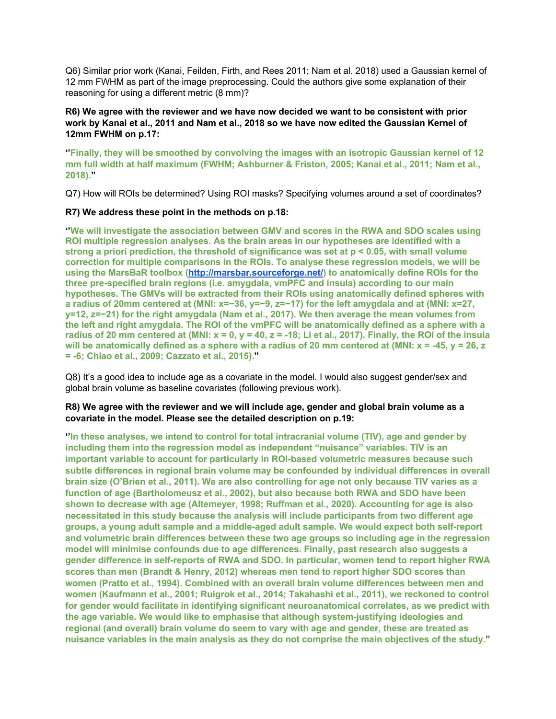Q6) Similar prior work (Kanai, Feilden, Firth, and Rees 2011; Nam et al. 2018) used a Gaussian kernel of 12 mm FWHM as part of the image preprocessing. Could the authors give some explanation of their reasoning for using a different metric (8 mm)?

# **R6) We agree with the reviewer and we have now decided we want to be consistent with prior work by Kanai et al., 2011 and Nam et al., 2018 so we have now edited the Gaussian Kernel of 12mm FWHM on p.17:**

**''Finally, they will be smoothed by convolving the images with an isotropic Gaussian kernel of 12 mm full width at half maximum (FWHM; Ashburner & Friston, 2005; Kanai et al., 2011; Nam et al., 2018)."**

Q7) How will ROIs be determined? Using ROI masks? Specifying volumes around a set of coordinates?

# **R7) We address these point in the methods on p.18:**

**''We will investigate the association between GMV and scores in the RWA and SDO scales using ROI multiple regression analyses. As the brain areas in our hypotheses are identified with a strong a priori prediction, the threshold of significance was set at p < 0.05, with small volume correction for multiple comparisons in the ROIs. To analyse these regression models, we will be using the MarsBaR toolbox (http://marsbar.sourceforge.net/) to anatomically define ROIs for the three pre-specified brain regions (i.e. amygdala, vmPFC and insula) according to our main hypotheses. The GMVs will be extracted from their ROIs using anatomically defined spheres with a radius of 20mm centered at (MNI: x=−36, y=−9, z=−17) for the left amygdala and at (MNI: x=27, y=12, z=−21) for the right amygdala (Nam et al., 2017). We then average the mean volumes from the left and right amygdala. The ROI of the vmPFC will be anatomically defined as a sphere with a radius of 20 mm centered at (MNI: x = 0, y = 40, z = -18; Li et al., 2017). Finally, the ROI of the insula will be anatomically defined as a sphere with a radius of 20 mm centered at (MNI: x = -45, y = 26, z = -6; Chiao et al., 2009; Cazzato et al., 2015)."**

Q8) It's a good idea to include age as a covariate in the model. I would also suggest gender/sex and global brain volume as baseline covariates (following previous work).

#### **R8) We agree with the reviewer and we will include age, gender and global brain volume as a covariate in the model. Please see the detailed description on p.19:**

**''In these analyses, we intend to control for total intracranial volume (TIV), age and gender by including them into the regression model as independent "nuisance" variables. TIV is an important variable to account for particularly in ROI-based volumetric measures because such subtle differences in regional brain volume may be confounded by individual differences in overall brain size (O'Brien et al., 2011). We are also controlling for age not only because TIV varies as a function of age (Bartholomeusz et al., 2002), but also because both RWA and SDO have been shown to decrease with age (Altemeyer, 1998; Ruffman et al., 2020). Accounting for age is also necessitated in this study because the analysis will include participants from two different age groups, a young adult sample and a middle-aged adult sample. We would expect both self-report and volumetric brain differences between these two age groups so including age in the regression model will minimise confounds due to age differences. Finally, past research also suggests a gender difference in self-reports of RWA and SDO. In particular, women tend to report higher RWA scores than men (Brandt & Henry, 2012) whereas men tend to report higher SDO scores than women (Pratto et al., 1994). Combined with an overall brain volume differences between men and women (Kaufmann et al., 2001; Ruigrok et al., 2014; Takahashi et al., 2011), we reckoned to control for gender would facilitate in identifying significant neuroanatomical correlates, as we predict with the age variable. We would like to emphasise that although system-justifying ideologies and regional (and overall) brain volume do seem to vary with age and gender, these are treated as nuisance variables in the main analysis as they do not comprise the main objectives of the study."**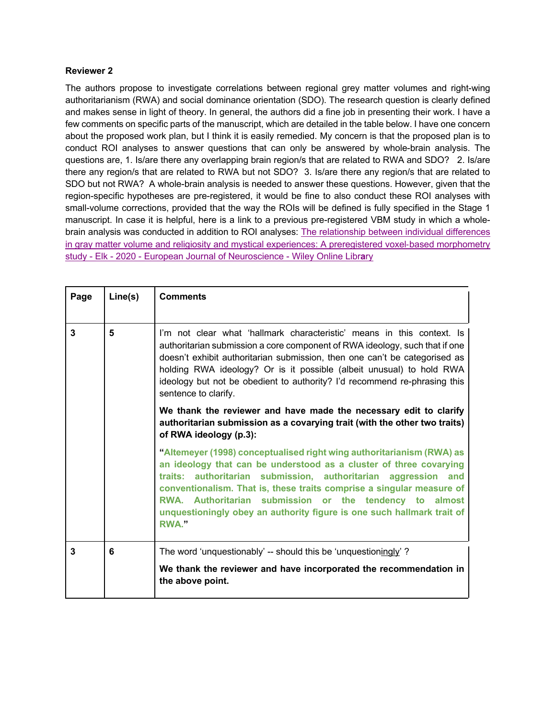#### **Reviewer 2**

The authors propose to investigate correlations between regional grey matter volumes and right-wing authoritarianism (RWA) and social dominance orientation (SDO). The research question is clearly defined and makes sense in light of theory. In general, the authors did a fine job in presenting their work. I have a few comments on specific parts of the manuscript, which are detailed in the table below. I have one concern about the proposed work plan, but I think it is easily remedied. My concern is that the proposed plan is to conduct ROI analyses to answer questions that can only be answered by whole-brain analysis. The questions are, 1. Is/are there any overlapping brain region/s that are related to RWA and SDO? 2. Is/are there any region/s that are related to RWA but not SDO? 3. Is/are there any region/s that are related to SDO but not RWA? A whole-brain analysis is needed to answer these questions. However, given that the region-specific hypotheses are pre-registered, it would be fine to also conduct these ROI analyses with small-volume corrections, provided that the way the ROIs will be defined is fully specified in the Stage 1 manuscript. In case it is helpful, here is a link to a previous pre-registered VBM study in which a wholebrain analysis was conducted in addition to ROI analyses: The relationship between individual differences in gray matter volume and religiosity and mystical experiences: A preregistered voxel-based morphometry study - Elk - 2020 - European Journal of Neuroscience - Wiley Online Libr**a**ry

| Page | Line(s) | <b>Comments</b>                                                                                                                                                                                                                                                                                                                                                                                                                             |
|------|---------|---------------------------------------------------------------------------------------------------------------------------------------------------------------------------------------------------------------------------------------------------------------------------------------------------------------------------------------------------------------------------------------------------------------------------------------------|
| 3    | 5       | I'm not clear what 'hallmark characteristic' means in this context. Is<br>authoritarian submission a core component of RWA ideology, such that if one<br>doesn't exhibit authoritarian submission, then one can't be categorised as<br>holding RWA ideology? Or is it possible (albeit unusual) to hold RWA<br>ideology but not be obedient to authority? I'd recommend re-phrasing this<br>sentence to clarify.                            |
|      |         | We thank the reviewer and have made the necessary edit to clarify<br>authoritarian submission as a covarying trait (with the other two traits)<br>of RWA ideology (p.3):                                                                                                                                                                                                                                                                    |
|      |         | "Altemeyer (1998) conceptualised right wing authoritarianism (RWA) as<br>an ideology that can be understood as a cluster of three covarying<br>traits: authoritarian submission, authoritarian aggression and<br>conventionalism. That is, these traits comprise a singular measure of<br>RWA. Authoritarian submission or the tendency to almost<br>unquestioningly obey an authority figure is one such hallmark trait of<br><b>RWA."</b> |
| 3    | 6       | The word 'unquestionably' -- should this be 'unquestioningly'?                                                                                                                                                                                                                                                                                                                                                                              |
|      |         | We thank the reviewer and have incorporated the recommendation in<br>the above point.                                                                                                                                                                                                                                                                                                                                                       |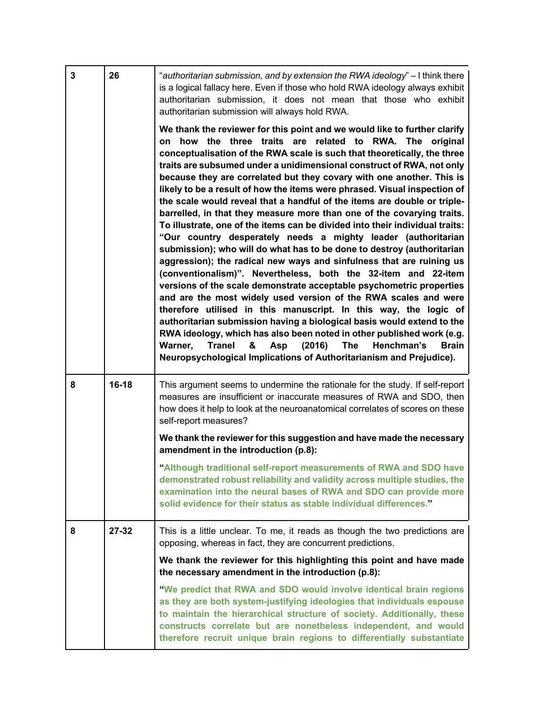| 3 | 26        | "authoritarian submission, and by extension the RWA ideology" - I think there<br>is a logical fallacy here. Even if those who hold RWA ideology always exhibit<br>authoritarian submission, it does not mean that those who exhibit<br>authoritarian submission will always hold RWA.                                                                                                                                                                                                                                                                                                                                                                                                                                                                                                                                                                                                                                                                                                                                                                                                                                                                                                                                                                                                                                                                                                                                                                                                                              |
|---|-----------|--------------------------------------------------------------------------------------------------------------------------------------------------------------------------------------------------------------------------------------------------------------------------------------------------------------------------------------------------------------------------------------------------------------------------------------------------------------------------------------------------------------------------------------------------------------------------------------------------------------------------------------------------------------------------------------------------------------------------------------------------------------------------------------------------------------------------------------------------------------------------------------------------------------------------------------------------------------------------------------------------------------------------------------------------------------------------------------------------------------------------------------------------------------------------------------------------------------------------------------------------------------------------------------------------------------------------------------------------------------------------------------------------------------------------------------------------------------------------------------------------------------------|
|   |           | We thank the reviewer for this point and we would like to further clarify<br>on how the three traits are related to RWA. The original<br>conceptualisation of the RWA scale is such that theoretically, the three<br>traits are subsumed under a unidimensional construct of RWA, not only<br>because they are correlated but they covary with one another. This is<br>likely to be a result of how the items were phrased. Visual inspection of<br>the scale would reveal that a handful of the items are double or triple-<br>barrelled, in that they measure more than one of the covarying traits.<br>To illustrate, one of the items can be divided into their individual traits:<br>"Our country desperately needs a mighty leader (authoritarian<br>submission); who will do what has to be done to destroy (authoritarian<br>aggression); the radical new ways and sinfulness that are ruining us<br>(conventionalism)". Nevertheless, both the 32-item and 22-item<br>versions of the scale demonstrate acceptable psychometric properties<br>and are the most widely used version of the RWA scales and were<br>therefore utilised in this manuscript. In this way, the logic of<br>authoritarian submission having a biological basis would extend to the<br>RWA ideology, which has also been noted in other published work (e.g.<br><b>Tranel</b><br>(2016)<br><b>The</b><br>Warner,<br>Asp<br>Henchman's<br><b>Brain</b><br>&<br>Neuropsychological Implications of Authoritarianism and Prejudice). |
| 8 | $16 - 18$ | This argument seems to undermine the rationale for the study. If self-report<br>measures are insufficient or inaccurate measures of RWA and SDO, then<br>how does it help to look at the neuroanatomical correlates of scores on these<br>self-report measures?                                                                                                                                                                                                                                                                                                                                                                                                                                                                                                                                                                                                                                                                                                                                                                                                                                                                                                                                                                                                                                                                                                                                                                                                                                                    |
|   |           | We thank the reviewer for this suggestion and have made the necessary<br>amendment in the introduction (p.8):                                                                                                                                                                                                                                                                                                                                                                                                                                                                                                                                                                                                                                                                                                                                                                                                                                                                                                                                                                                                                                                                                                                                                                                                                                                                                                                                                                                                      |
|   |           | "Although traditional self-report measurements of RWA and SDO have<br>demonstrated robust reliability and validity across multiple studies, the<br>examination into the neural bases of RWA and SDO can provide more                                                                                                                                                                                                                                                                                                                                                                                                                                                                                                                                                                                                                                                                                                                                                                                                                                                                                                                                                                                                                                                                                                                                                                                                                                                                                               |
|   |           | solid evidence for their status as stable individual differences."                                                                                                                                                                                                                                                                                                                                                                                                                                                                                                                                                                                                                                                                                                                                                                                                                                                                                                                                                                                                                                                                                                                                                                                                                                                                                                                                                                                                                                                 |
| 8 | $27 - 32$ | This is a little unclear. To me, it reads as though the two predictions are<br>opposing, whereas in fact, they are concurrent predictions.                                                                                                                                                                                                                                                                                                                                                                                                                                                                                                                                                                                                                                                                                                                                                                                                                                                                                                                                                                                                                                                                                                                                                                                                                                                                                                                                                                         |
|   |           | We thank the reviewer for this highlighting this point and have made<br>the necessary amendment in the introduction (p.8):                                                                                                                                                                                                                                                                                                                                                                                                                                                                                                                                                                                                                                                                                                                                                                                                                                                                                                                                                                                                                                                                                                                                                                                                                                                                                                                                                                                         |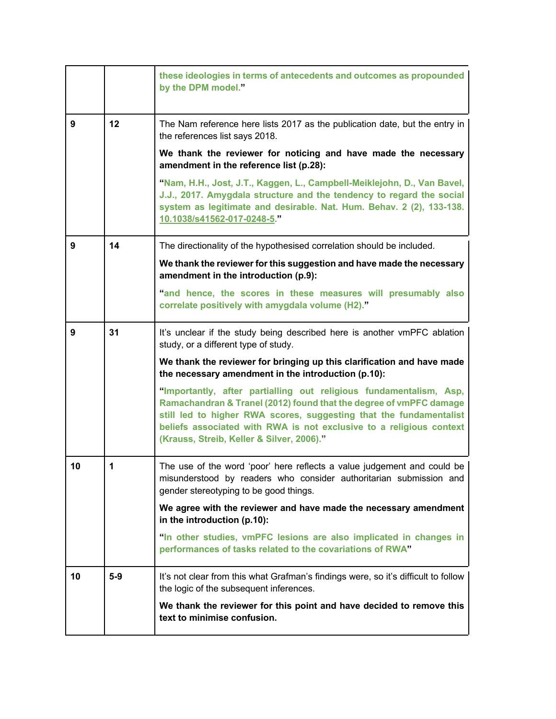|    |       | these ideologies in terms of antecedents and outcomes as propounded<br>by the DPM model."                                                                                                                                                                                                                                          |
|----|-------|------------------------------------------------------------------------------------------------------------------------------------------------------------------------------------------------------------------------------------------------------------------------------------------------------------------------------------|
| 9  | 12    | The Nam reference here lists 2017 as the publication date, but the entry in<br>the references list says 2018.                                                                                                                                                                                                                      |
|    |       | We thank the reviewer for noticing and have made the necessary<br>amendment in the reference list (p.28):                                                                                                                                                                                                                          |
|    |       | "Nam, H.H., Jost, J.T., Kaggen, L., Campbell-Meiklejohn, D., Van Bavel,<br>J.J., 2017. Amygdala structure and the tendency to regard the social<br>system as legitimate and desirable. Nat. Hum. Behav. 2 (2), 133-138.<br>10.1038/s41562-017-0248-5."                                                                             |
| 9  | 14    | The directionality of the hypothesised correlation should be included.                                                                                                                                                                                                                                                             |
|    |       | We thank the reviewer for this suggestion and have made the necessary<br>amendment in the introduction (p.9):                                                                                                                                                                                                                      |
|    |       | "and hence, the scores in these measures will presumably also<br>correlate positively with amygdala volume (H2)."                                                                                                                                                                                                                  |
| 9  | 31    | It's unclear if the study being described here is another vmPFC ablation<br>study, or a different type of study.                                                                                                                                                                                                                   |
|    |       | We thank the reviewer for bringing up this clarification and have made<br>the necessary amendment in the introduction (p.10):                                                                                                                                                                                                      |
|    |       | "Importantly, after partialling out religious fundamentalism, Asp,<br>Ramachandran & Tranel (2012) found that the degree of vmPFC damage<br>still led to higher RWA scores, suggesting that the fundamentalist<br>beliefs associated with RWA is not exclusive to a religious context<br>(Krauss, Streib, Keller & Silver, 2006)." |
| 10 | 1     | The use of the word 'poor' here reflects a value judgement and could be<br>misunderstood by readers who consider authoritarian submission and<br>gender stereotyping to be good things.                                                                                                                                            |
|    |       | We agree with the reviewer and have made the necessary amendment<br>in the introduction (p.10):                                                                                                                                                                                                                                    |
|    |       | "In other studies, vmPFC lesions are also implicated in changes in<br>performances of tasks related to the covariations of RWA"                                                                                                                                                                                                    |
| 10 | $5-9$ | It's not clear from this what Grafman's findings were, so it's difficult to follow<br>the logic of the subsequent inferences.                                                                                                                                                                                                      |
|    |       | We thank the reviewer for this point and have decided to remove this<br>text to minimise confusion.                                                                                                                                                                                                                                |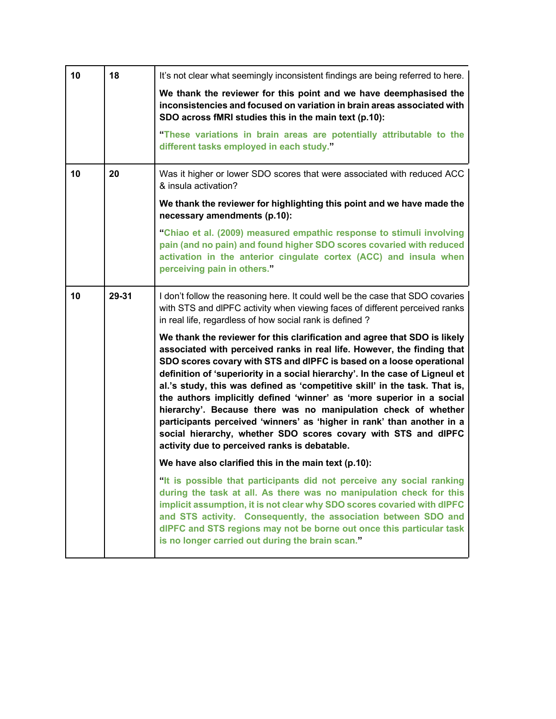| 10 | 18    | It's not clear what seemingly inconsistent findings are being referred to here.                                                                                                                                                                                                                                                                                                                                                                                                                                                                                                                                                                                                                                                    |
|----|-------|------------------------------------------------------------------------------------------------------------------------------------------------------------------------------------------------------------------------------------------------------------------------------------------------------------------------------------------------------------------------------------------------------------------------------------------------------------------------------------------------------------------------------------------------------------------------------------------------------------------------------------------------------------------------------------------------------------------------------------|
|    |       | We thank the reviewer for this point and we have deemphasised the<br>inconsistencies and focused on variation in brain areas associated with<br>SDO across fMRI studies this in the main text (p.10):                                                                                                                                                                                                                                                                                                                                                                                                                                                                                                                              |
|    |       | "These variations in brain areas are potentially attributable to the<br>different tasks employed in each study."                                                                                                                                                                                                                                                                                                                                                                                                                                                                                                                                                                                                                   |
| 10 | 20    | Was it higher or lower SDO scores that were associated with reduced ACC<br>& insula activation?                                                                                                                                                                                                                                                                                                                                                                                                                                                                                                                                                                                                                                    |
|    |       | We thank the reviewer for highlighting this point and we have made the<br>necessary amendments (p.10):                                                                                                                                                                                                                                                                                                                                                                                                                                                                                                                                                                                                                             |
|    |       | "Chiao et al. (2009) measured empathic response to stimuli involving<br>pain (and no pain) and found higher SDO scores covaried with reduced<br>activation in the anterior cingulate cortex (ACC) and insula when<br>perceiving pain in others."                                                                                                                                                                                                                                                                                                                                                                                                                                                                                   |
| 10 | 29-31 | I don't follow the reasoning here. It could well be the case that SDO covaries<br>with STS and dlPFC activity when viewing faces of different perceived ranks<br>in real life, regardless of how social rank is defined?                                                                                                                                                                                                                                                                                                                                                                                                                                                                                                           |
|    |       | We thank the reviewer for this clarification and agree that SDO is likely<br>associated with perceived ranks in real life. However, the finding that<br>SDO scores covary with STS and dIPFC is based on a loose operational<br>definition of 'superiority in a social hierarchy'. In the case of Ligneul et<br>al.'s study, this was defined as 'competitive skill' in the task. That is,<br>the authors implicitly defined 'winner' as 'more superior in a social<br>hierarchy'. Because there was no manipulation check of whether<br>participants perceived 'winners' as 'higher in rank' than another in a<br>social hierarchy, whether SDO scores covary with STS and dIPFC<br>activity due to perceived ranks is debatable. |
|    |       | We have also clarified this in the main text (p.10):                                                                                                                                                                                                                                                                                                                                                                                                                                                                                                                                                                                                                                                                               |
|    |       | "It is possible that participants did not perceive any social ranking<br>during the task at all. As there was no manipulation check for this<br>implicit assumption, it is not clear why SDO scores covaried with dIPFC<br>and STS activity. Consequently, the association between SDO and<br>dlPFC and STS regions may not be borne out once this particular task<br>is no longer carried out during the brain scan."                                                                                                                                                                                                                                                                                                             |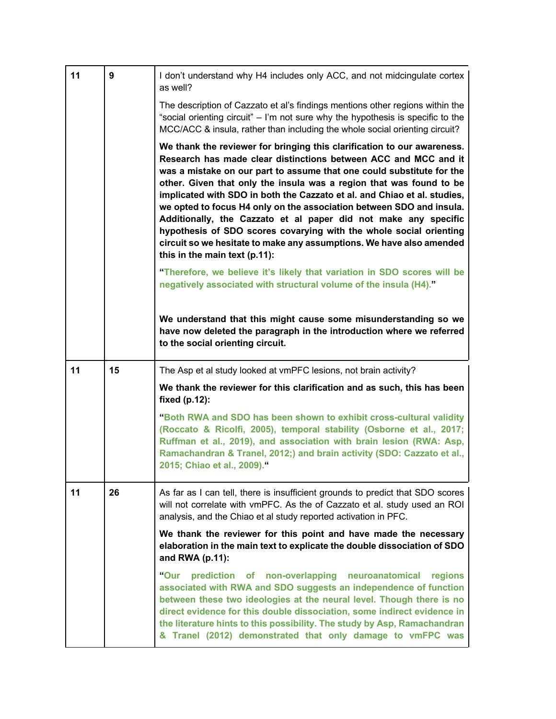| 11 | 9  | I don't understand why H4 includes only ACC, and not midcingulate cortex<br>as well?                                                                                                                                                                                                                                                                                                                                                                                                                                                                                                                                                                                                                                                                                                                                                                                                                                                                                                        |
|----|----|---------------------------------------------------------------------------------------------------------------------------------------------------------------------------------------------------------------------------------------------------------------------------------------------------------------------------------------------------------------------------------------------------------------------------------------------------------------------------------------------------------------------------------------------------------------------------------------------------------------------------------------------------------------------------------------------------------------------------------------------------------------------------------------------------------------------------------------------------------------------------------------------------------------------------------------------------------------------------------------------|
|    |    | The description of Cazzato et al's findings mentions other regions within the<br>"social orienting circuit" - I'm not sure why the hypothesis is specific to the<br>MCC/ACC & insula, rather than including the whole social orienting circuit?                                                                                                                                                                                                                                                                                                                                                                                                                                                                                                                                                                                                                                                                                                                                             |
|    |    | We thank the reviewer for bringing this clarification to our awareness.<br>Research has made clear distinctions between ACC and MCC and it<br>was a mistake on our part to assume that one could substitute for the<br>other. Given that only the insula was a region that was found to be<br>implicated with SDO in both the Cazzato et al. and Chiao et al. studies,<br>we opted to focus H4 only on the association between SDO and insula.<br>Additionally, the Cazzato et al paper did not make any specific<br>hypothesis of SDO scores covarying with the whole social orienting<br>circuit so we hesitate to make any assumptions. We have also amended<br>this in the main text (p.11):<br>"Therefore, we believe it's likely that variation in SDO scores will be<br>negatively associated with structural volume of the insula (H4)."<br>We understand that this might cause some misunderstanding so we<br>have now deleted the paragraph in the introduction where we referred |
|    |    | to the social orienting circuit.                                                                                                                                                                                                                                                                                                                                                                                                                                                                                                                                                                                                                                                                                                                                                                                                                                                                                                                                                            |
|    |    |                                                                                                                                                                                                                                                                                                                                                                                                                                                                                                                                                                                                                                                                                                                                                                                                                                                                                                                                                                                             |
| 11 | 15 | The Asp et al study looked at vmPFC lesions, not brain activity?                                                                                                                                                                                                                                                                                                                                                                                                                                                                                                                                                                                                                                                                                                                                                                                                                                                                                                                            |
|    |    | We thank the reviewer for this clarification and as such, this has been<br>fixed (p.12):                                                                                                                                                                                                                                                                                                                                                                                                                                                                                                                                                                                                                                                                                                                                                                                                                                                                                                    |
|    |    | "Both RWA and SDO has been shown to exhibit cross-cultural validity<br>(Roccato & Ricolfi, 2005), temporal stability (Osborne et al., 2017;<br>Ruffman et al., 2019), and association with brain lesion (RWA: Asp,<br>Ramachandran & Tranel, 2012;) and brain activity (SDO: Cazzato et al.,<br>2015; Chiao et al., 2009)."                                                                                                                                                                                                                                                                                                                                                                                                                                                                                                                                                                                                                                                                 |
| 11 | 26 | As far as I can tell, there is insufficient grounds to predict that SDO scores<br>will not correlate with vmPFC. As the of Cazzato et al. study used an ROI<br>analysis, and the Chiao et al study reported activation in PFC.                                                                                                                                                                                                                                                                                                                                                                                                                                                                                                                                                                                                                                                                                                                                                              |
|    |    | We thank the reviewer for this point and have made the necessary<br>elaboration in the main text to explicate the double dissociation of SDO<br>and RWA (p.11):                                                                                                                                                                                                                                                                                                                                                                                                                                                                                                                                                                                                                                                                                                                                                                                                                             |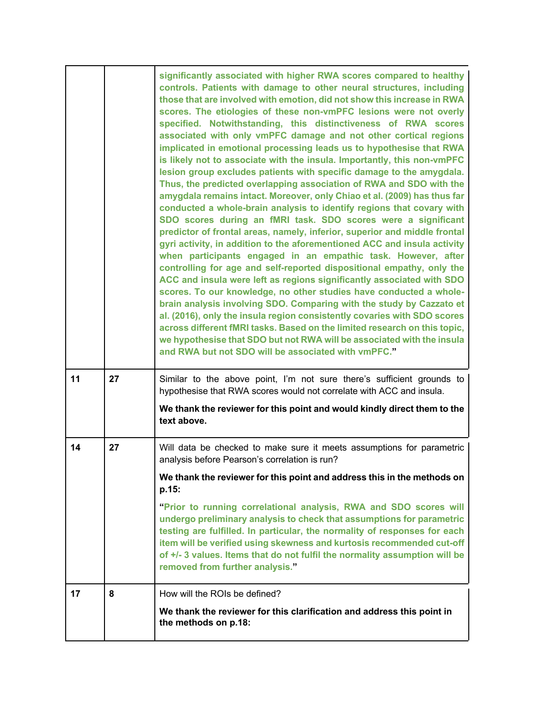|    |    | significantly associated with higher RWA scores compared to healthy<br>controls. Patients with damage to other neural structures, including<br>those that are involved with emotion, did not show this increase in RWA<br>scores. The etiologies of these non-vmPFC lesions were not overly<br>specified. Notwithstanding, this distinctiveness of RWA scores<br>associated with only vmPFC damage and not other cortical regions<br>implicated in emotional processing leads us to hypothesise that RWA<br>is likely not to associate with the insula. Importantly, this non-vmPFC<br>lesion group excludes patients with specific damage to the amygdala.<br>Thus, the predicted overlapping association of RWA and SDO with the<br>amygdala remains intact. Moreover, only Chiao et al. (2009) has thus far<br>conducted a whole-brain analysis to identify regions that covary with<br>SDO scores during an fMRI task. SDO scores were a significant<br>predictor of frontal areas, namely, inferior, superior and middle frontal<br>gyri activity, in addition to the aforementioned ACC and insula activity<br>when participants engaged in an empathic task. However, after<br>controlling for age and self-reported dispositional empathy, only the<br>ACC and insula were left as regions significantly associated with SDO<br>scores. To our knowledge, no other studies have conducted a whole-<br>brain analysis involving SDO. Comparing with the study by Cazzato et<br>al. (2016), only the insula region consistently covaries with SDO scores<br>across different fMRI tasks. Based on the limited research on this topic,<br>we hypothesise that SDO but not RWA will be associated with the insula<br>and RWA but not SDO will be associated with vmPFC." |
|----|----|------------------------------------------------------------------------------------------------------------------------------------------------------------------------------------------------------------------------------------------------------------------------------------------------------------------------------------------------------------------------------------------------------------------------------------------------------------------------------------------------------------------------------------------------------------------------------------------------------------------------------------------------------------------------------------------------------------------------------------------------------------------------------------------------------------------------------------------------------------------------------------------------------------------------------------------------------------------------------------------------------------------------------------------------------------------------------------------------------------------------------------------------------------------------------------------------------------------------------------------------------------------------------------------------------------------------------------------------------------------------------------------------------------------------------------------------------------------------------------------------------------------------------------------------------------------------------------------------------------------------------------------------------------------------------------------------------------------------------------------------------------------------------|
| 11 | 27 | Similar to the above point, I'm not sure there's sufficient grounds to<br>hypothesise that RWA scores would not correlate with ACC and insula.<br>We thank the reviewer for this point and would kindly direct them to the<br>text above.                                                                                                                                                                                                                                                                                                                                                                                                                                                                                                                                                                                                                                                                                                                                                                                                                                                                                                                                                                                                                                                                                                                                                                                                                                                                                                                                                                                                                                                                                                                                    |
| 14 | 27 | Will data be checked to make sure it meets assumptions for parametric<br>analysis before Pearson's correlation is run?                                                                                                                                                                                                                                                                                                                                                                                                                                                                                                                                                                                                                                                                                                                                                                                                                                                                                                                                                                                                                                                                                                                                                                                                                                                                                                                                                                                                                                                                                                                                                                                                                                                       |
|    |    | We thank the reviewer for this point and address this in the methods on<br>p.15:                                                                                                                                                                                                                                                                                                                                                                                                                                                                                                                                                                                                                                                                                                                                                                                                                                                                                                                                                                                                                                                                                                                                                                                                                                                                                                                                                                                                                                                                                                                                                                                                                                                                                             |
|    |    | "Prior to running correlational analysis, RWA and SDO scores will<br>undergo preliminary analysis to check that assumptions for parametric<br>testing are fulfilled. In particular, the normality of responses for each<br>item will be verified using skewness and kurtosis recommended cut-off<br>of +/- 3 values. Items that do not fulfil the normality assumption will be<br>removed from further analysis."                                                                                                                                                                                                                                                                                                                                                                                                                                                                                                                                                                                                                                                                                                                                                                                                                                                                                                                                                                                                                                                                                                                                                                                                                                                                                                                                                            |
| 17 | 8  | How will the ROIs be defined?<br>We thank the reviewer for this clarification and address this point in                                                                                                                                                                                                                                                                                                                                                                                                                                                                                                                                                                                                                                                                                                                                                                                                                                                                                                                                                                                                                                                                                                                                                                                                                                                                                                                                                                                                                                                                                                                                                                                                                                                                      |
|    |    | the methods on p.18:                                                                                                                                                                                                                                                                                                                                                                                                                                                                                                                                                                                                                                                                                                                                                                                                                                                                                                                                                                                                                                                                                                                                                                                                                                                                                                                                                                                                                                                                                                                                                                                                                                                                                                                                                         |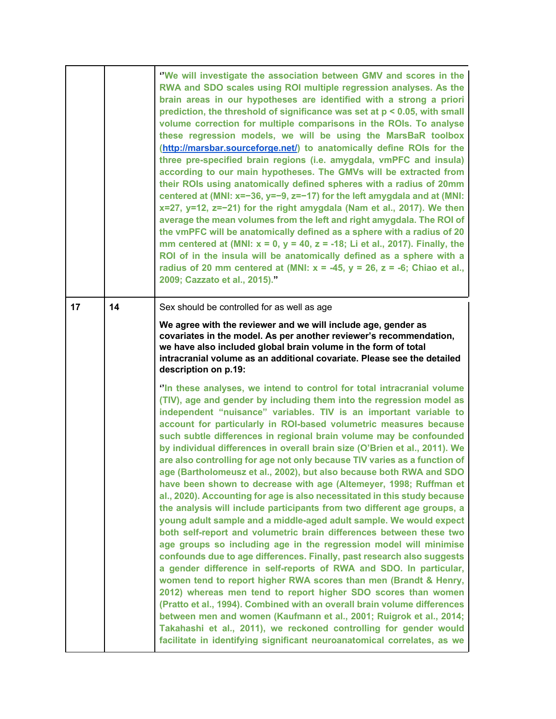|    |    | "We will investigate the association between GMV and scores in the<br>RWA and SDO scales using ROI multiple regression analyses. As the<br>brain areas in our hypotheses are identified with a strong a priori<br>prediction, the threshold of significance was set at $p < 0.05$ , with small<br>volume correction for multiple comparisons in the ROIs. To analyse<br>these regression models, we will be using the MarsBaR toolbox<br>(http://marsbar.sourceforge.net/) to anatomically define ROIs for the<br>three pre-specified brain regions (i.e. amygdala, vmPFC and insula)<br>according to our main hypotheses. The GMVs will be extracted from<br>their ROIs using anatomically defined spheres with a radius of 20mm<br>centered at (MNI: $x=-36$ , $y=-9$ , $z=-17$ ) for the left amygdala and at (MNI:<br>$x=27$ , $y=12$ , $z=-21$ ) for the right amygdala (Nam et al., 2017). We then<br>average the mean volumes from the left and right amygdala. The ROI of<br>the vmPFC will be anatomically defined as a sphere with a radius of 20<br>mm centered at (MNI: $x = 0$ , $y = 40$ , $z = -18$ ; Li et al., 2017). Finally, the<br>ROI of in the insula will be anatomically defined as a sphere with a<br>radius of 20 mm centered at (MNI: $x = -45$ , $y = 26$ , $z = -6$ ; Chiao et al.,<br>2009; Cazzato et al., 2015)."                                                                                                                                                                                                                                                                                       |
|----|----|-----------------------------------------------------------------------------------------------------------------------------------------------------------------------------------------------------------------------------------------------------------------------------------------------------------------------------------------------------------------------------------------------------------------------------------------------------------------------------------------------------------------------------------------------------------------------------------------------------------------------------------------------------------------------------------------------------------------------------------------------------------------------------------------------------------------------------------------------------------------------------------------------------------------------------------------------------------------------------------------------------------------------------------------------------------------------------------------------------------------------------------------------------------------------------------------------------------------------------------------------------------------------------------------------------------------------------------------------------------------------------------------------------------------------------------------------------------------------------------------------------------------------------------------------------------------------------------------------------------------------------------------|
| 17 | 14 | Sex should be controlled for as well as age<br>We agree with the reviewer and we will include age, gender as<br>covariates in the model. As per another reviewer's recommendation,<br>we have also included global brain volume in the form of total<br>intracranial volume as an additional covariate. Please see the detailed<br>description on p.19:                                                                                                                                                                                                                                                                                                                                                                                                                                                                                                                                                                                                                                                                                                                                                                                                                                                                                                                                                                                                                                                                                                                                                                                                                                                                                 |
|    |    | "In these analyses, we intend to control for total intracranial volume<br>(TIV), age and gender by including them into the regression model as<br>independent "nuisance" variables. TIV is an important variable to<br>account for particularly in ROI-based volumetric measures because<br>such subtle differences in regional brain volume may be confounded<br>by individual differences in overall brain size (O'Brien et al., 2011). We<br>are also controlling for age not only because TIV varies as a function of<br>age (Bartholomeusz et al., 2002), but also because both RWA and SDO<br>have been shown to decrease with age (Altemeyer, 1998; Ruffman et<br>al., 2020). Accounting for age is also necessitated in this study because<br>the analysis will include participants from two different age groups, a<br>young adult sample and a middle-aged adult sample. We would expect<br>both self-report and volumetric brain differences between these two<br>age groups so including age in the regression model will minimise<br>confounds due to age differences. Finally, past research also suggests<br>a gender difference in self-reports of RWA and SDO. In particular,<br>women tend to report higher RWA scores than men (Brandt & Henry,<br>2012) whereas men tend to report higher SDO scores than women<br>(Pratto et al., 1994). Combined with an overall brain volume differences<br>between men and women (Kaufmann et al., 2001; Ruigrok et al., 2014;<br>Takahashi et al., 2011), we reckoned controlling for gender would<br>facilitate in identifying significant neuroanatomical correlates, as we |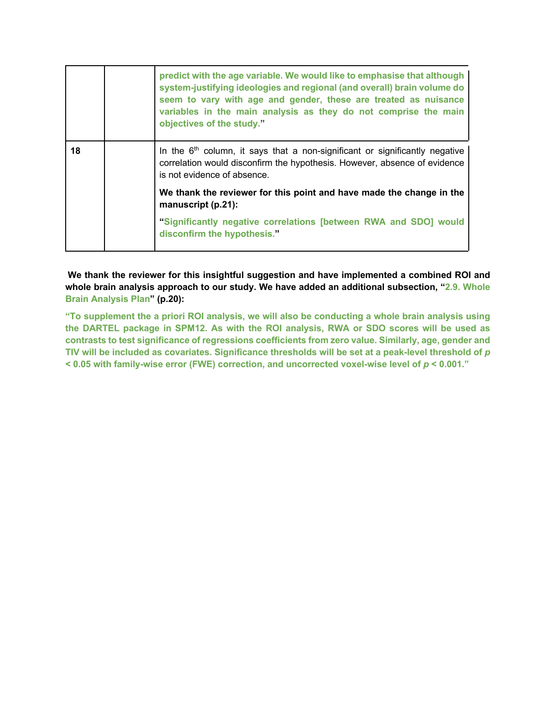|    | predict with the age variable. We would like to emphasise that although<br>system-justifying ideologies and regional (and overall) brain volume do<br>seem to vary with age and gender, these are treated as nuisance<br>variables in the main analysis as they do not comprise the main<br>objectives of the study." |
|----|-----------------------------------------------------------------------------------------------------------------------------------------------------------------------------------------------------------------------------------------------------------------------------------------------------------------------|
| 18 | In the $6th$ column, it says that a non-significant or significantly negative<br>correlation would disconfirm the hypothesis. However, absence of evidence<br>is not evidence of absence.                                                                                                                             |
|    | We thank the reviewer for this point and have made the change in the<br>manuscript (p.21):                                                                                                                                                                                                                            |
|    | "Significantly negative correlations [between RWA and SDO] would<br>disconfirm the hypothesis."                                                                                                                                                                                                                       |

**We thank the reviewer for this insightful suggestion and have implemented a combined ROI and whole brain analysis approach to our study. We have added an additional subsection, "2.9. Whole Brain Analysis Plan" (p.20):**

**"To supplement the a priori ROI analysis, we will also be conducting a whole brain analysis using the DARTEL package in SPM12. As with the ROI analysis, RWA or SDO scores will be used as contrasts to test significance of regressions coefficients from zero value. Similarly, age, gender and TIV will be included as covariates. Significance thresholds will be set at a peak-level threshold of** *p* **< 0.05 with family-wise error (FWE) correction, and uncorrected voxel-wise level of** *p* **< 0.001."**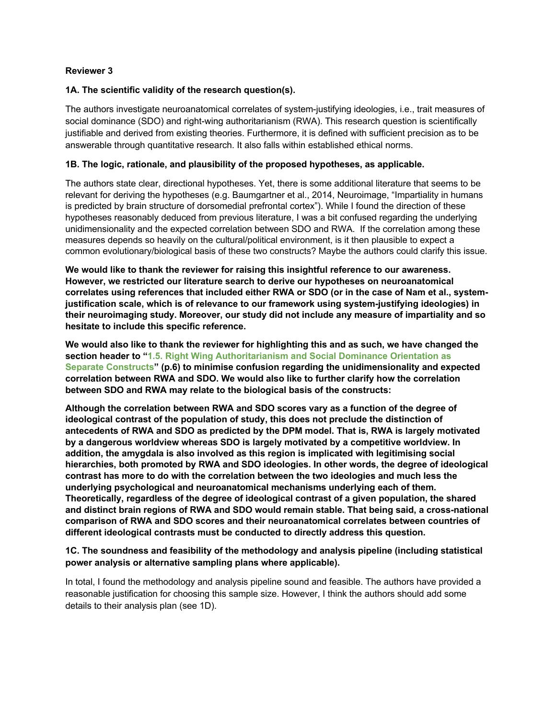# **Reviewer 3**

#### **1A. The scientific validity of the research question(s).**

The authors investigate neuroanatomical correlates of system-justifying ideologies, i.e., trait measures of social dominance (SDO) and right-wing authoritarianism (RWA). This research question is scientifically justifiable and derived from existing theories. Furthermore, it is defined with sufficient precision as to be answerable through quantitative research. It also falls within established ethical norms.

#### **1B. The logic, rationale, and plausibility of the proposed hypotheses, as applicable.**

The authors state clear, directional hypotheses. Yet, there is some additional literature that seems to be relevant for deriving the hypotheses (e.g. Baumgartner et al., 2014, Neuroimage, "Impartiality in humans is predicted by brain structure of dorsomedial prefrontal cortex"). While I found the direction of these hypotheses reasonably deduced from previous literature, I was a bit confused regarding the underlying unidimensionality and the expected correlation between SDO and RWA. If the correlation among these measures depends so heavily on the cultural/political environment, is it then plausible to expect a common evolutionary/biological basis of these two constructs? Maybe the authors could clarify this issue.

**We would like to thank the reviewer for raising this insightful reference to our awareness. However, we restricted our literature search to derive our hypotheses on neuroanatomical correlates using references that included either RWA or SDO (or in the case of Nam et al., systemjustification scale, which is of relevance to our framework using system-justifying ideologies) in their neuroimaging study. Moreover, our study did not include any measure of impartiality and so hesitate to include this specific reference.**

**We would also like to thank the reviewer for highlighting this and as such, we have changed the section header to "1.5. Right Wing Authoritarianism and Social Dominance Orientation as Separate Constructs" (p.6) to minimise confusion regarding the unidimensionality and expected correlation between RWA and SDO. We would also like to further clarify how the correlation between SDO and RWA may relate to the biological basis of the constructs:**

**Although the correlation between RWA and SDO scores vary as a function of the degree of ideological contrast of the population of study, this does not preclude the distinction of antecedents of RWA and SDO as predicted by the DPM model. That is, RWA is largely motivated by a dangerous worldview whereas SDO is largely motivated by a competitive worldview. In addition, the amygdala is also involved as this region is implicated with legitimising social hierarchies, both promoted by RWA and SDO ideologies. In other words, the degree of ideological contrast has more to do with the correlation between the two ideologies and much less the underlying psychological and neuroanatomical mechanisms underlying each of them. Theoretically, regardless of the degree of ideological contrast of a given population, the shared and distinct brain regions of RWA and SDO would remain stable. That being said, a cross-national comparison of RWA and SDO scores and their neuroanatomical correlates between countries of different ideological contrasts must be conducted to directly address this question.**

# **1C. The soundness and feasibility of the methodology and analysis pipeline (including statistical power analysis or alternative sampling plans where applicable).**

In total, I found the methodology and analysis pipeline sound and feasible. The authors have provided a reasonable justification for choosing this sample size. However, I think the authors should add some details to their analysis plan (see 1D).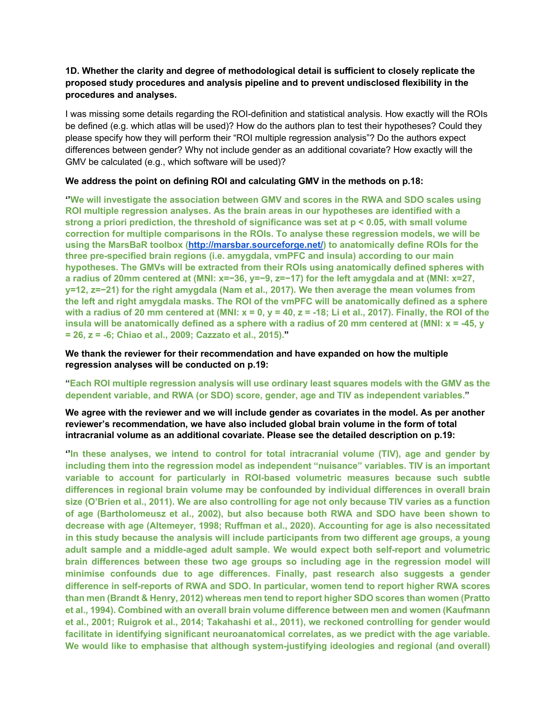# **1D. Whether the clarity and degree of methodological detail is sufficient to closely replicate the proposed study procedures and analysis pipeline and to prevent undisclosed flexibility in the procedures and analyses.**

I was missing some details regarding the ROI-definition and statistical analysis. How exactly will the ROIs be defined (e.g. which atlas will be used)? How do the authors plan to test their hypotheses? Could they please specify how they will perform their "ROI multiple regression analysis"? Do the authors expect differences between gender? Why not include gender as an additional covariate? How exactly will the GMV be calculated (e.g., which software will be used)?

# **We address the point on defining ROI and calculating GMV in the methods on p.18:**

**''We will investigate the association between GMV and scores in the RWA and SDO scales using ROI multiple regression analyses. As the brain areas in our hypotheses are identified with a strong a priori prediction, the threshold of significance was set at p < 0.05, with small volume correction for multiple comparisons in the ROIs. To analyse these regression models, we will be using the MarsBaR toolbox (http://marsbar.sourceforge.net/) to anatomically define ROIs for the three pre-specified brain regions (i.e. amygdala, vmPFC and insula) according to our main hypotheses. The GMVs will be extracted from their ROIs using anatomically defined spheres with a radius of 20mm centered at (MNI: x=−36, y=−9, z=−17) for the left amygdala and at (MNI: x=27, y=12, z=−21) for the right amygdala (Nam et al., 2017). We then average the mean volumes from the left and right amygdala masks. The ROI of the vmPFC will be anatomically defined as a sphere with a radius of 20 mm centered at (MNI: x = 0, y = 40, z = -18; Li et al., 2017). Finally, the ROI of the insula will be anatomically defined as a sphere with a radius of 20 mm centered at (MNI: x = -45, y = 26, z = -6; Chiao et al., 2009; Cazzato et al., 2015)."**

**We thank the reviewer for their recommendation and have expanded on how the multiple regression analyses will be conducted on p.19:**

# **"Each ROI multiple regression analysis will use ordinary least squares models with the GMV as the dependent variable, and RWA (or SDO) score, gender, age and TIV as independent variables."**

#### **We agree with the reviewer and we will include gender as covariates in the model. As per another reviewer's recommendation, we have also included global brain volume in the form of total intracranial volume as an additional covariate. Please see the detailed description on p.19:**

**''In these analyses, we intend to control for total intracranial volume (TIV), age and gender by including them into the regression model as independent "nuisance" variables. TIV is an important variable to account for particularly in ROI-based volumetric measures because such subtle differences in regional brain volume may be confounded by individual differences in overall brain size (O'Brien et al., 2011). We are also controlling for age not only because TIV varies as a function of age (Bartholomeusz et al., 2002), but also because both RWA and SDO have been shown to decrease with age (Altemeyer, 1998; Ruffman et al., 2020). Accounting for age is also necessitated in this study because the analysis will include participants from two different age groups, a young adult sample and a middle-aged adult sample. We would expect both self-report and volumetric brain differences between these two age groups so including age in the regression model will minimise confounds due to age differences. Finally, past research also suggests a gender difference in self-reports of RWA and SDO. In particular, women tend to report higher RWA scores than men (Brandt & Henry, 2012) whereas men tend to report higher SDO scores than women (Pratto et al., 1994). Combined with an overall brain volume difference between men and women (Kaufmann et al., 2001; Ruigrok et al., 2014; Takahashi et al., 2011), we reckoned controlling for gender would facilitate in identifying significant neuroanatomical correlates, as we predict with the age variable. We would like to emphasise that although system-justifying ideologies and regional (and overall)**